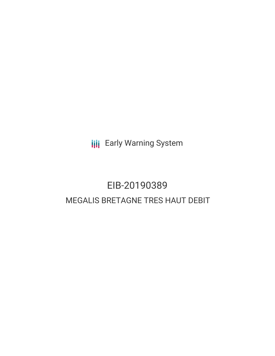**III** Early Warning System

# EIB-20190389 MEGALIS BRETAGNE TRES HAUT DEBIT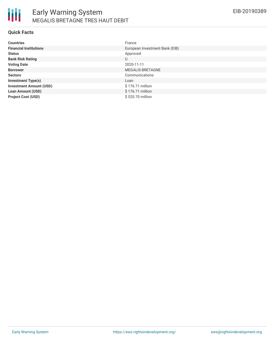

#### **Quick Facts**

| <b>Countries</b>               | France                         |
|--------------------------------|--------------------------------|
| <b>Financial Institutions</b>  | European Investment Bank (EIB) |
| <b>Status</b>                  | Approved                       |
| <b>Bank Risk Rating</b>        | U                              |
| <b>Voting Date</b>             | 2020-11-11                     |
| <b>Borrower</b>                | <b>MEGALIS BRETAGNE</b>        |
| <b>Sectors</b>                 | Communications                 |
| <b>Investment Type(s)</b>      | Loan                           |
| <b>Investment Amount (USD)</b> | \$176.71 million               |
| <b>Loan Amount (USD)</b>       | \$176.71 million               |
| <b>Project Cost (USD)</b>      | \$520.70 million               |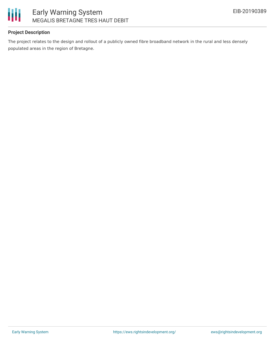

## **Project Description**

The project relates to the design and rollout of a publicly owned fibre broadband network in the rural and less densely populated areas in the region of Bretagne.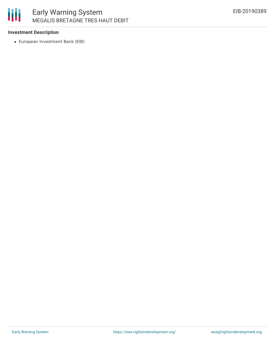

## **Investment Description**

European Investment Bank (EIB)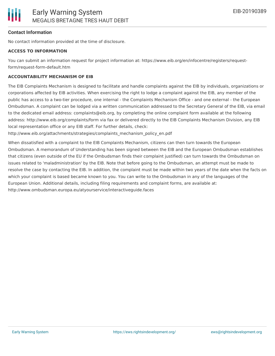# **Contact Information**

No contact information provided at the time of disclosure.

## **ACCESS TO INFORMATION**

You can submit an information request for project information at: https://www.eib.org/en/infocentre/registers/requestform/request-form-default.htm

## **ACCOUNTABILITY MECHANISM OF EIB**

The EIB Complaints Mechanism is designed to facilitate and handle complaints against the EIB by individuals, organizations or corporations affected by EIB activities. When exercising the right to lodge a complaint against the EIB, any member of the public has access to a two-tier procedure, one internal - the Complaints Mechanism Office - and one external - the European Ombudsman. A complaint can be lodged via a written communication addressed to the Secretary General of the EIB, via email to the dedicated email address: complaints@eib.org, by completing the online complaint form available at the following address: http://www.eib.org/complaints/form via fax or delivered directly to the EIB Complaints Mechanism Division, any EIB local representation office or any EIB staff. For further details, check:

http://www.eib.org/attachments/strategies/complaints\_mechanism\_policy\_en.pdf

When dissatisfied with a complaint to the EIB Complaints Mechanism, citizens can then turn towards the European Ombudsman. A memorandum of Understanding has been signed between the EIB and the European Ombudsman establishes that citizens (even outside of the EU if the Ombudsman finds their complaint justified) can turn towards the Ombudsman on issues related to 'maladministration' by the EIB. Note that before going to the Ombudsman, an attempt must be made to resolve the case by contacting the EIB. In addition, the complaint must be made within two years of the date when the facts on which your complaint is based became known to you. You can write to the Ombudsman in any of the languages of the European Union. Additional details, including filing requirements and complaint forms, are available at: http://www.ombudsman.europa.eu/atyourservice/interactiveguide.faces